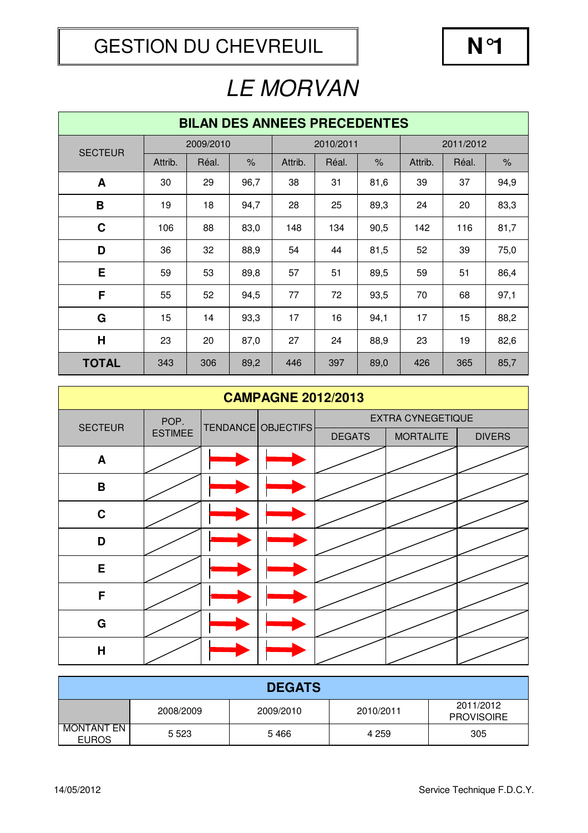| <b>BILAN DES ANNEES PRECEDENTES</b> |         |           |      |         |           |               |           |       |      |
|-------------------------------------|---------|-----------|------|---------|-----------|---------------|-----------|-------|------|
| <b>SECTEUR</b>                      |         | 2009/2010 |      |         | 2010/2011 |               | 2011/2012 |       |      |
|                                     | Attrib. | Réal.     | $\%$ | Attrib. | Réal.     | $\frac{9}{6}$ | Attrib.   | Réal. | $\%$ |
| A                                   | 30      | 29        | 96,7 | 38      | 31        | 81,6          | 39        | 37    | 94,9 |
| B                                   | 19      | 18        | 94,7 | 28      | 25        | 89,3          | 24        | 20    | 83,3 |
| $\mathbf C$                         | 106     | 88        | 83,0 | 148     | 134       | 90,5          | 142       | 116   | 81,7 |
| D                                   | 36      | 32        | 88,9 | 54      | 44        | 81,5          | 52        | 39    | 75,0 |
| E                                   | 59      | 53        | 89,8 | 57      | 51        | 89,5          | 59        | 51    | 86,4 |
| F                                   | 55      | 52        | 94,5 | 77      | 72        | 93,5          | 70        | 68    | 97,1 |
| G                                   | 15      | 14        | 93,3 | 17      | 16        | 94,1          | 17        | 15    | 88,2 |
| H                                   | 23      | 20        | 87,0 | 27      | 24        | 88,9          | 23        | 19    | 82,6 |
| <b>TOTAL</b>                        | 343     | 306       | 89,2 | 446     | 397       | 89,0          | 426       | 365   | 85,7 |

| <b>CAMPAGNE 2012/2013</b> |                |  |                    |                          |                  |  |  |  |
|---------------------------|----------------|--|--------------------|--------------------------|------------------|--|--|--|
| <b>SECTEUR</b>            | POP.           |  | TENDANCE OBJECTIFS | <b>EXTRA CYNEGETIQUE</b> |                  |  |  |  |
|                           | <b>ESTIMEE</b> |  |                    | <b>DEGATS</b>            | <b>MORTALITE</b> |  |  |  |
| A                         |                |  |                    |                          |                  |  |  |  |
| B                         |                |  |                    |                          |                  |  |  |  |
| $\mathbf C$               |                |  |                    |                          |                  |  |  |  |
| D                         |                |  |                    |                          |                  |  |  |  |
| E                         |                |  |                    |                          |                  |  |  |  |
| F                         |                |  |                    |                          |                  |  |  |  |
| $\mathbf G$               |                |  |                    |                          |                  |  |  |  |
| $\overline{\mathsf{H}}$   |                |  |                    |                          |                  |  |  |  |

| <b>DEGATS</b>              |           |           |           |                                |  |  |  |  |
|----------------------------|-----------|-----------|-----------|--------------------------------|--|--|--|--|
|                            | 2008/2009 | 2009/2010 | 2010/2011 | 2011/2012<br><b>PROVISOIRE</b> |  |  |  |  |
| MONTANT EN<br><b>EUROS</b> | 5 5 2 3   | 5466      | 4 259     | 305                            |  |  |  |  |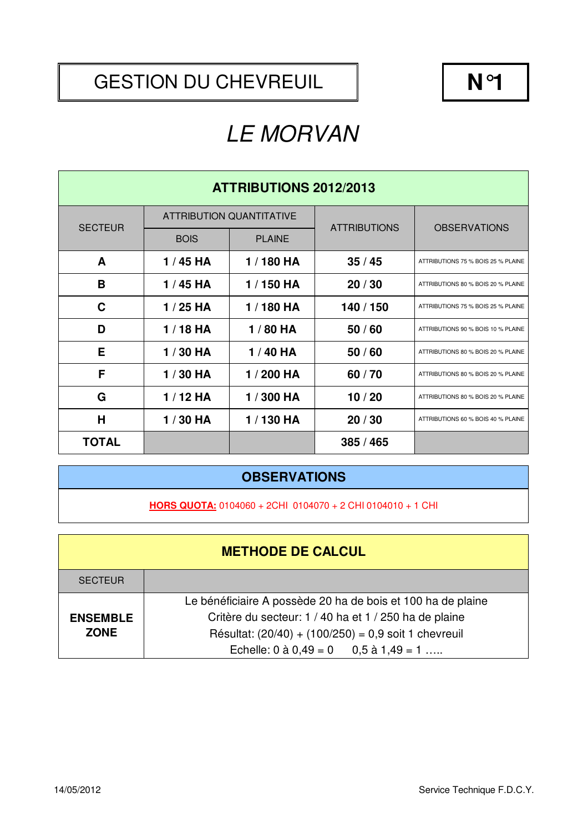#### GESTION DU CHEVREUIL  $\parallel$  **N°1**

# LE MORVAN

| <b>ATTRIBUTIONS 2012/2013</b> |             |                                 |                     |                                    |  |  |  |
|-------------------------------|-------------|---------------------------------|---------------------|------------------------------------|--|--|--|
| <b>SECTEUR</b>                |             | <b>ATTRIBUTION QUANTITATIVE</b> | <b>ATTRIBUTIONS</b> |                                    |  |  |  |
|                               | <b>BOIS</b> | <b>PLAINE</b>                   |                     | <b>OBSERVATIONS</b>                |  |  |  |
| A                             | $1/45$ HA   | 1/180 HA                        | 35/45               | ATTRIBUTIONS 75 % BOIS 25 % PLAINE |  |  |  |
| B                             | $1/45$ HA   | 1/150 HA                        | 20/30               | ATTRIBUTIONS 80 % BOIS 20 % PLAINE |  |  |  |
| C                             | $1/25$ HA   | 1/180 HA                        | 140 / 150           | ATTRIBUTIONS 75 % BOIS 25 % PLAINE |  |  |  |
| D                             | $1/18$ HA   | 1/80 HA                         | 50/60               | ATTRIBUTIONS 90 % BOIS 10 % PLAINE |  |  |  |
| Е                             | 1/30 HA     | 1/40 HA                         | 50/60               | ATTRIBUTIONS 80 % BOIS 20 % PLAINE |  |  |  |
| F                             | 1/30 HA     | 1/200 HA                        | 60/70               | ATTRIBUTIONS 80 % BOIS 20 % PLAINE |  |  |  |
| G                             | $1/12$ HA   | 1/300 HA                        | 10/20               | ATTRIBUTIONS 80 % BOIS 20 % PLAINE |  |  |  |
| H                             | $1/30$ HA   | 1/130 HA                        | 20/30               | ATTRIBUTIONS 60 % BOIS 40 % PLAINE |  |  |  |
| <b>TOTAL</b>                  |             |                                 | 385/465             |                                    |  |  |  |

#### **OBSERVATIONS**

**HORS QUOTA:** 0104060 + 2CHI 0104070 + 2 CHI 0104010 + 1 CHI

|                 | <b>METHODE DE CALCUL</b>                                    |
|-----------------|-------------------------------------------------------------|
| <b>SECTEUR</b>  |                                                             |
|                 | Le bénéficiaire A possède 20 ha de bois et 100 ha de plaine |
| <b>ENSEMBLE</b> | Critère du secteur: 1 / 40 ha et 1 / 250 ha de plaine       |
| <b>ZONE</b>     | Résultat: $(20/40) + (100/250) = 0.9$ soit 1 chevreuil      |
|                 | Echelle: $0$ à $0,49 = 0$ $0,5$ à $1,49 = 1$                |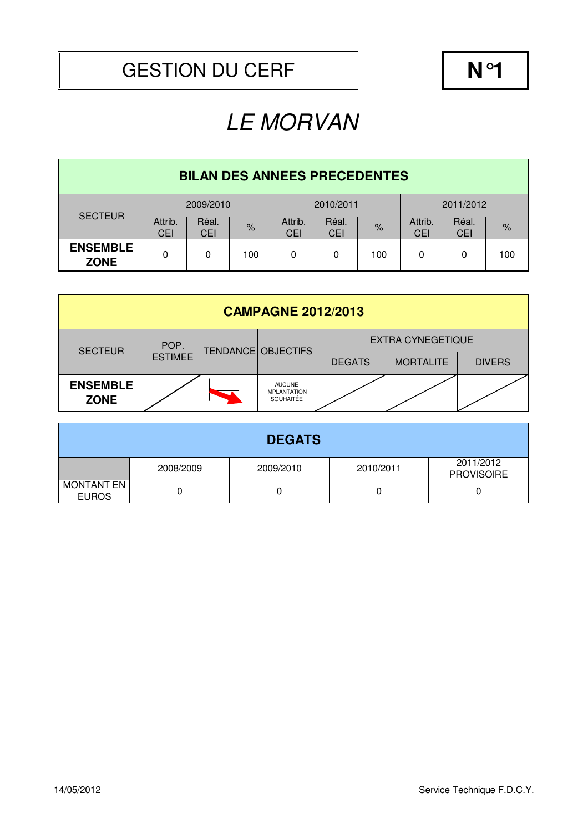| <b>BILAN DES ANNEES PRECEDENTES</b> |                       |                     |               |                       |              |      |                       |              |               |
|-------------------------------------|-----------------------|---------------------|---------------|-----------------------|--------------|------|-----------------------|--------------|---------------|
| <b>SECTEUR</b>                      | 2009/2010             |                     |               | 2010/2011             |              |      | 2011/2012             |              |               |
|                                     | Attrib.<br><b>CEI</b> | Réal.<br><b>CEI</b> | $\frac{9}{6}$ | Attrib.<br><b>CEI</b> | Réal.<br>CEI | $\%$ | Attrib.<br><b>CEI</b> | Réal.<br>CEI | $\frac{9}{6}$ |
| <b>ENSEMBLE</b><br><b>ZONE</b>      | 0                     | 0                   | 100           | 0                     | 0            | 100  | 0                     | 0            | 100           |

| <b>CAMPAGNE 2012/2013</b>      |                |  |                                                   |                          |                  |               |  |  |  |
|--------------------------------|----------------|--|---------------------------------------------------|--------------------------|------------------|---------------|--|--|--|
| <b>SECTEUR</b>                 | POP.           |  | TENDANCE OBJECTIFS                                | <b>EXTRA CYNEGETIQUE</b> |                  |               |  |  |  |
|                                | <b>ESTIMEE</b> |  |                                                   | <b>DEGATS</b>            | <b>MORTALITE</b> | <b>DIVERS</b> |  |  |  |
| <b>ENSEMBLE</b><br><b>ZONE</b> |                |  | <b>AUCUNE</b><br><b>IMPLANTATION</b><br>SOUHAITÉE |                          |                  |               |  |  |  |

| <b>DEGATS</b>                     |           |           |           |                                |  |  |  |  |
|-----------------------------------|-----------|-----------|-----------|--------------------------------|--|--|--|--|
|                                   | 2008/2009 | 2009/2010 | 2010/2011 | 2011/2012<br><b>PROVISOIRE</b> |  |  |  |  |
| <b>MONTANT EN</b><br><b>EUROS</b> |           |           |           |                                |  |  |  |  |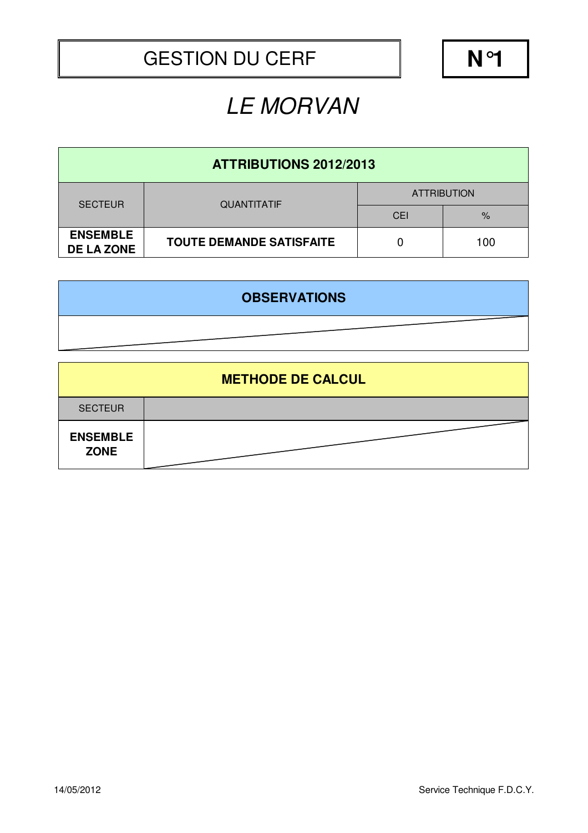| <b>ATTRIBUTIONS 2012/2013</b>        |                                 |                    |      |  |  |  |  |
|--------------------------------------|---------------------------------|--------------------|------|--|--|--|--|
| <b>SECTEUR</b>                       | <b>QUANTITATIF</b>              | <b>ATTRIBUTION</b> |      |  |  |  |  |
|                                      |                                 | <b>CEI</b>         | $\%$ |  |  |  |  |
| <b>ENSEMBLE</b><br><b>DE LA ZONE</b> | <b>TOUTE DEMANDE SATISFAITE</b> |                    | 100  |  |  |  |  |

| <b>OBSERVATIONS</b> |  |
|---------------------|--|
|                     |  |

|                                | <b>METHODE DE CALCUL</b> |
|--------------------------------|--------------------------|
| <b>SECTEUR</b>                 |                          |
| <b>ENSEMBLE</b><br><b>ZONE</b> |                          |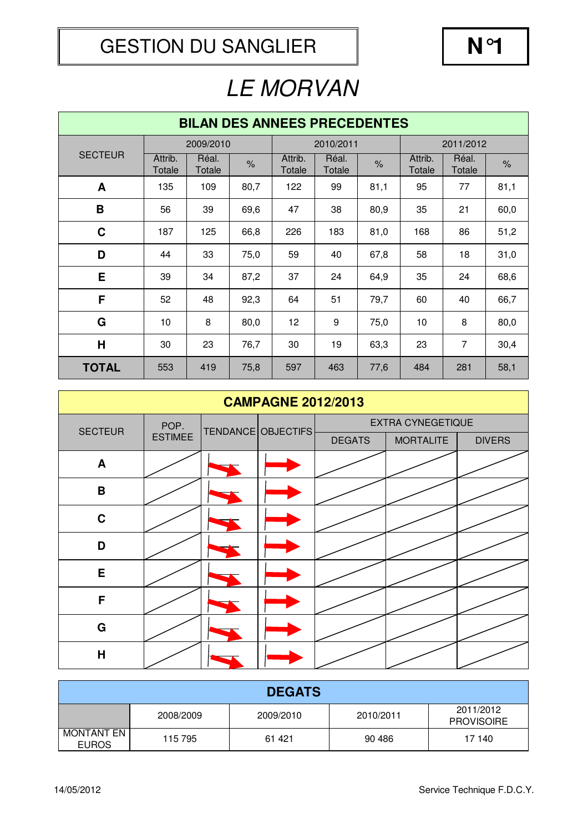| <b>BILAN DES ANNEES PRECEDENTES</b> |                   |                 |      |                   |                 |               |                   |                 |      |
|-------------------------------------|-------------------|-----------------|------|-------------------|-----------------|---------------|-------------------|-----------------|------|
|                                     |                   | 2009/2010       |      |                   | 2010/2011       |               |                   | 2011/2012       |      |
| <b>SECTEUR</b>                      | Attrib.<br>Totale | Réal.<br>Totale | $\%$ | Attrib.<br>Totale | Réal.<br>Totale | $\frac{9}{6}$ | Attrib.<br>Totale | Réal.<br>Totale | $\%$ |
| A                                   | 135               | 109             | 80,7 | 122               | 99              | 81,1          | 95                | 77              | 81,1 |
| B                                   | 56                | 39              | 69,6 | 47                | 38              | 80,9          | 35                | 21              | 60,0 |
| $\mathbf C$                         | 187               | 125             | 66,8 | 226               | 183             | 81,0          | 168               | 86              | 51,2 |
| D                                   | 44                | 33              | 75,0 | 59                | 40              | 67,8          | 58                | 18              | 31,0 |
| E                                   | 39                | 34              | 87,2 | 37                | 24              | 64,9          | 35                | 24              | 68,6 |
| F                                   | 52                | 48              | 92,3 | 64                | 51              | 79,7          | 60                | 40              | 66,7 |
| G                                   | 10                | 8               | 80,0 | 12                | 9               | 75,0          | 10                | 8               | 80,0 |
| H                                   | 30                | 23              | 76,7 | 30                | 19              | 63,3          | 23                | $\overline{7}$  | 30,4 |
| <b>TOTAL</b>                        | 553               | 419             | 75,8 | 597               | 463             | 77,6          | 484               | 281             | 58,1 |

| <b>CAMPAGNE 2012/2013</b> |                        |  |                    |                          |                  |               |  |
|---------------------------|------------------------|--|--------------------|--------------------------|------------------|---------------|--|
| <b>SECTEUR</b>            | POP.<br><b>ESTIMEE</b> |  | TENDANCE OBJECTIFS | <b>EXTRA CYNEGETIQUE</b> |                  |               |  |
|                           |                        |  |                    | <b>DEGATS</b>            | <b>MORTALITE</b> | <b>DIVERS</b> |  |
| A                         |                        |  |                    |                          |                  |               |  |
| $\, {\bf B}$              |                        |  |                    |                          |                  |               |  |
| $\mathbf C$               |                        |  |                    |                          |                  |               |  |
| D                         |                        |  |                    |                          |                  |               |  |
| E                         |                        |  |                    |                          |                  |               |  |
| F                         |                        |  |                    |                          |                  |               |  |
| G                         |                        |  |                    |                          |                  |               |  |
| $\overline{H}$            |                        |  |                    |                          |                  |               |  |

| <b>DEGATS</b>              |           |           |           |                                |  |  |
|----------------------------|-----------|-----------|-----------|--------------------------------|--|--|
|                            | 2008/2009 | 2009/2010 | 2010/2011 | 2011/2012<br><b>PROVISOIRE</b> |  |  |
| MONTANT EN<br><b>EUROS</b> | 115 795   | 61 421    | 90 486    | 17 140                         |  |  |